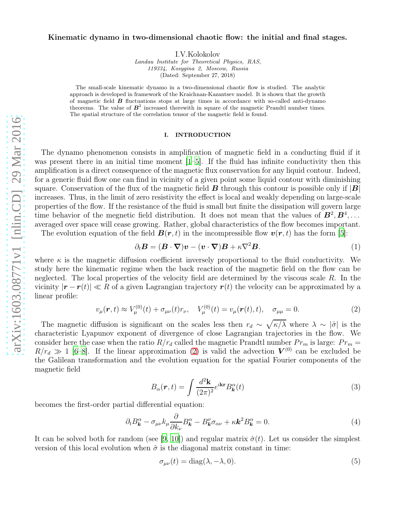## Kinematic dynamo in two-dimensional chaotic flow: the initial and final stages.

I.V.Kolokolov

Landau Institute for Theoretical Physics, RAS, 119334, Kosygina 2, Moscow, Russia (Dated: September 27, 2018)

The small-scale kinematic dynamo in a two-dimensional chaotic flow is studied. The analytic approach is developed in framework of the Kraichnan-Kazantsev model. It is shown that the growth of magnetic field  $\boldsymbol{B}$  fluctuations stops at large times in accordance with so-called anti-dynamo theorems. The value of  $B^2$  increased therewith in square of the magnetic Prandtl number times. The spatial structure of the correlation tensor of the magnetic field is found.

## I. INTRODUCTION

The dynamo phenomenon consists in amplification of magnetic field in a conducting fluid if it was present there in an initial time moment  $[1–5]$  $[1–5]$  $[1–5]$ . If the fluid has infinite conductivity then this amplification is a direct consequence of the magnetic flux conservation for any liquid contour. Indeed, for a generic fluid flow one can find in vicinity of a given point some liquid contour with diminishing square. Conservation of the flux of the magnetic field  $\bm{B}$  through this contour is possible only if  $|\bm{B}|$ increases. Thus, in the limit of zero resistivity the effect is local and weakly depending on large-scale properties of the flow. If the resistance of the fluid is small but finite the dissipation will govern large time behavior of the megnetic field distribution. It does not mean that the values of  $\mathbf{B}^2, \mathbf{B}^4, \ldots$ averaged over space will cease growing. Rather, global characteristics of the flow becomes important.

The evolution equation of the field  $\mathbf{B}(\mathbf{r},t)$  in the incompressible flow  $\mathbf{v}(\mathbf{r},t)$  has the form [\[5\]](#page-6-1):

<span id="page-0-3"></span>
$$
\partial_t \mathbf{B} = (\mathbf{B} \cdot \nabla) \mathbf{v} - (\mathbf{v} \cdot \nabla) \mathbf{B} + \kappa \nabla^2 \mathbf{B}.
$$
 (1)

where  $\kappa$  is the magnetic diffusion coefficient inversely proportional to the fluid conductivity. We study here the kinematic regime when the back reaction of the magnetic field on the flow can be neglected. The local properties of the velocity field are determined by the viscous scale  $R$ . In the vicinity  $|\mathbf{r} - \mathbf{r}(t)| \ll R$  of a given Lagrangian trajectory  $\mathbf{r}(t)$  the velocity can be approximated by a linear profile:

<span id="page-0-0"></span>
$$
v_{\mu}(\mathbf{r},t) \approx V_{\mu}^{(0)}(t) + \sigma_{\mu\nu}(t)r_{\nu}, \quad V_{\mu}^{(0)}(t) = v_{\mu}(\mathbf{r}(t),t), \quad \sigma_{\mu\mu} = 0. \tag{2}
$$

The magnetic diffusion is significant on the scales less then  $r_d \sim \sqrt{\kappa/\lambda}$  where  $\lambda \sim |\hat{\sigma}|$  is the characteristic Lyapunov exponent of divergence of close Lagrangian trajectories in the flow. We consider here the case when the ratio  $R/r_d$  called the magnetic Prandtl number  $Pr_m$  is large:  $Pr_m =$  $R/r_d \gg 1$  [\[6](#page-6-2)[–8](#page-6-3)]. If the linear approximation [\(2\)](#page-0-0) is valid the advection  $V^{(0)}$  can be excluded be the Galilean transformation and the evolution equation for the spatial Fourier components of the magnetic field

$$
B_{\alpha}(\boldsymbol{r},t) = \int \frac{d^2 \mathbf{k}}{(2\pi)^2} e^{i\mathbf{k}\mathbf{r}} B_{\boldsymbol{k}}^{\alpha}(t)
$$
 (3)

becomes the first-order partial differential equation:

<span id="page-0-1"></span>
$$
\partial_t B_{\mathbf{k}}^{\alpha} - \sigma_{\mu\nu} k_{\mu} \frac{\partial}{\partial k_{\nu}} B_{\mathbf{k}}^{\alpha} - B_{\mathbf{k}}^{\nu} \sigma_{\alpha\nu} + \kappa \mathbf{k}^2 B_{\mathbf{k}}^{\alpha} = 0. \tag{4}
$$

It can be solved both for random (see [\[9,](#page-6-4) [10](#page-6-5)]) and regular matrix  $\hat{\sigma}(t)$ . Let us consider the simplest version of this local evolution when  $\hat{\sigma}$  is the diagonal matrix constant in time:

<span id="page-0-2"></span>
$$
\sigma_{\mu\nu}(t) = \text{diag}(\lambda, -\lambda, 0). \tag{5}
$$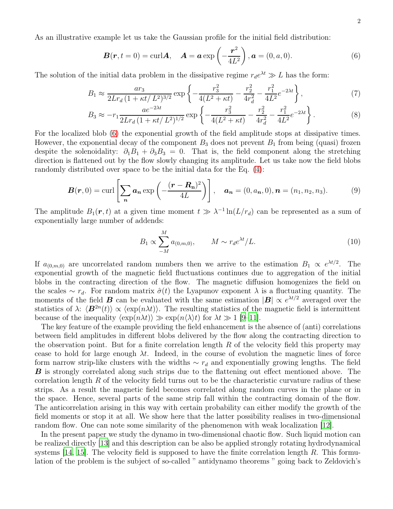As an illustrative example let us take the Gaussian profile for the initial field distribution:

<span id="page-1-0"></span>
$$
\boldsymbol{B}(\boldsymbol{r},t=0)=\mathrm{curl}\boldsymbol{A},\quad \boldsymbol{A}=\boldsymbol{a}\exp\left(-\frac{\boldsymbol{r}^2}{4L^2}\right),\boldsymbol{a}=(0,a,0). \tag{6}
$$

The solution of the initial data problem in the dissipative regime  $r_d e^{\lambda t} \gg L$  has the form:

$$
B_1 \approx \frac{ar_3}{2Lr_d \left(1 + \kappa t / L^2\right)^{3/2}} \exp\left\{-\frac{r_3^2}{4(L^2 + \kappa t)} - \frac{r_2^2}{4r_d^2} - \frac{r_1^2}{4L^2}e^{-2\lambda t}\right\},\tag{7}
$$

$$
B_3 \approx -r_1 \frac{ae^{-2\lambda t}}{2Lr_d \left(1 + \kappa t / L^2\right)^{1/2}} \exp\left\{-\frac{r_3^2}{4(L^2 + \kappa t)} - \frac{r_2^2}{4r_d^2} - \frac{r_1^2}{4L^2}e^{-2\lambda t}\right\}.
$$
 (8)

For the localized blob [\(6\)](#page-1-0) the exponential growth of the field amplitude stops at dissipative times. However, the exponential decay of the component  $B_3$  does not prevent  $B_1$  from being (quasi) frozen despite the solenoidality:  $\partial_1 B_1 + \partial_3 B_3 = 0$ . That is, the field component along the stretching direction is flattened out by the flow slowly changing its amplitude. Let us take now the field blobs randomly distributed over space to be the initial data for the Eq. [\(4\)](#page-0-1):

$$
\boldsymbol{B}(\boldsymbol{r},0)=\operatorname{curl}\left[\sum_{\boldsymbol{n}}\boldsymbol{a}_{\boldsymbol{n}}\exp\left(-\frac{(\boldsymbol{r}-\boldsymbol{R}_{\boldsymbol{n}})^{2}}{4L}\right)\right],\quad\boldsymbol{a}_{\boldsymbol{n}}=(0,a_{\boldsymbol{n}},0),\boldsymbol{n}=(n_{1},n_{2},n_{3}).\tag{9}
$$

The amplitude  $B_1(\mathbf{r}, t)$  at a given time moment  $t \gg \lambda^{-1} \ln(L/r_d)$  can be represented as a sum of exponentially large number of addends:

<span id="page-1-1"></span>
$$
B_1 \propto \sum_{-M}^{M} a_{(0,m,0)}, \qquad M \sim r_d e^{\lambda t} / L. \tag{10}
$$

If  $a_{(0,m,0)}$  are uncorrelated random numbers then we arrive to the estimation  $B_1 \propto e^{\lambda t/2}$ . The exponential growth of the magnetic field fluctuations continues due to aggregation of the initial blobs in the contracting direction of the flow. The magnetic diffusion homogenizes the field on the scales  $\sim r_d$ . For random matrix  $\hat{\sigma}(t)$  the Lyapunov exponent  $\lambda$  is a fluctuating quantity. The moments of the field **B** can be evaluated with the same estimation  $|\mathbf{B}| \propto e^{\lambda t/2}$  averaged over the statistics of  $\lambda$ :  $\langle \mathbf{B}^{2n}(t) \rangle \propto \langle \exp(n\lambda t) \rangle$ . The resulting statistics of the magnetic field is intermittent because of the inequality  $\langle \exp(n\lambda t) \rangle \gg \exp(n\langle \lambda \rangle t)$  for  $\lambda t \gg 1$  [\[9](#page-6-4)[–11](#page-6-6)].

The key feature of the example providing the field enhancement is the absence of (anti) correlations between field amplitudes in different blobs delivered by the flow along the contracting direction to the observation point. But for a finite correlation length R of the velocity field this property may cease to hold for large enough  $\lambda t$ . Indeed, in the course of evolution the magnetic lines of force form narrow strip-like clusters with the widths  $\sim r_d$  and exponentially growing lengths. The field **B** is strongly correlated along such strips due to the flattening out effect mentioned above. The correlation length  $R$  of the velocity field turns out to be the characteristic curvature radius of these strips. As a result the magnetic field becomes correlated along random curves in the plane or in the space. Hence, several parts of the same strip fall within the contracting domain of the flow. The anticorrelation arising in this way with certain probability can either modify the growth of the field moments or stop it at all. We show here that the latter possibility realises in two-dimensional random flow. One can note some similarity of the phenomenon with weak localization [\[12](#page-6-7)].

In the present paper we study the dynamo in two-dimensional chaotic flow. Such liquid motion can be realized directly [\[13](#page-6-8)] and this description can be also be applied strongly rotating hydrodynamical systems  $[14, 15]$  $[14, 15]$  $[14, 15]$ . The velocity field is supposed to have the finite correlation length R. This formulation of the problem is the subject of so-called " antidynamo theorems " going back to Zeldovich's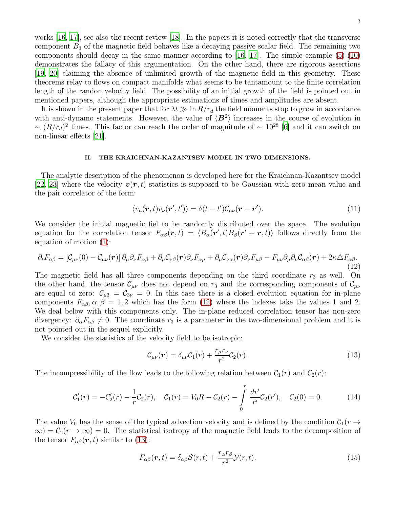works [\[16,](#page-6-11) [17\]](#page-6-12), see also the recent review [\[18\]](#page-6-13). In the papers it is noted correctly that the transverse component  $B_3$  of the magnetic field behaves like a decaying passive scalar field. The remaining two components should decay in the same manner according to  $[16, 17]$  $[16, 17]$ . The simple example  $(5)-(10)$  $(5)-(10)$ demonstrates the fallacy of this argumentation. On the other hand, there are rigorous assertions [\[19,](#page-6-14) [20](#page-6-15)] claiming the absence of unlimited growth of the magnetic field in this geometry. These theorems relay to flows on compact manifolds what seems to be tantamount to the finite correlation length of the randon velocity field. The possibility of an initial growth of the field is pointed out in mentioned papers, although the appropriate estimations of times and amplitudes are absent.

It is shown in the present paper that for  $\lambda t \gg \ln R/r_d$  the field moments stop to grow in accordance with anti-dynamo statements. However, the value of  $\langle B^2 \rangle$  increases in the course of evolution in  $\sim (R/r_d)^2$  times. This factor can reach the order of magnitude of  $\sim 10^{28}$  [\[6\]](#page-6-2) and it can switch on non-linear effects [\[21\]](#page-6-16).

## II. THE KRAICHNAN-KAZANTSEV MODEL IN TWO DIMENSIONS.

The analytic description of the phenomenon is developed here for the Kraichnan-Kazantsev model [\[22,](#page-6-17) [23](#page-6-18)] where the velocity  $v(r, t)$  statistics is supposed to be Gaussian with zero mean value and the pair correlator of the form:

$$
\langle v_{\mu}(\boldsymbol{r},t)v_{\nu}(\boldsymbol{r}',t')\rangle = \delta(t-t')\mathcal{C}_{\mu\nu}(\boldsymbol{r}-\boldsymbol{r}'). \tag{11}
$$

We consider the initial magnetic fiel to be randomly distributed over the space. The evolution equation for the correlation tensor  $F_{\alpha\beta}(\mathbf{r},t) = \langle B_{\alpha}(\mathbf{r}',t)B_{\beta}(\mathbf{r}'+\mathbf{r},t) \rangle$  follows directly from the equation of motion [\(1\)](#page-0-3):

<span id="page-2-0"></span>
$$
\partial_t F_{\alpha\beta} = \left[ \mathcal{C}_{\mu\nu}(0) - \mathcal{C}_{\mu\nu}(r) \right] \partial_\mu \partial_\nu F_{\alpha\beta} + \partial_\mu \mathcal{C}_{\nu\beta}(r) \partial_\nu F_{\alpha\mu} + \partial_\mu \mathcal{C}_{\nu\alpha}(r) \partial_\nu F_{\mu\beta} - F_{\mu\nu} \partial_\mu \partial_\nu \mathcal{C}_{\alpha\beta}(r) + 2\kappa \Delta F_{\alpha\beta}.
$$
\n(12)

The magnetic field has all three components depending on the third coordinate  $r_3$  as well. On the other hand, the tensor  $\mathcal{C}_{\mu\nu}$  does not depend on  $r_3$  and the corresponding components of  $\mathcal{C}_{\mu\nu}$ are equal to zero:  $C_{\mu 3} = C_{3\nu} = 0$ . In this case there is a closed evolution equation for in-plane components  $F_{\alpha\beta}$ ,  $\alpha$ ,  $\beta = 1, 2$  which has the form [\(12\)](#page-2-0) where the indexes take the values 1 and 2. We deal below with this components only. The in-plane reduced correlation tensor has non-zero divergency:  $\partial_{\alpha}F_{\alpha\beta}\neq 0$ . The coordinate  $r_3$  is a parameter in the two-dimensional problem and it is not pointed out in the sequel explicitly.

We consider the statistics of the velocity field to be isotropic:

<span id="page-2-1"></span>
$$
\mathcal{C}_{\mu\nu}(\boldsymbol{r}) = \delta_{\mu\nu}\mathcal{C}_1(r) + \frac{r_{\mu}r_{\nu}}{r^2}\mathcal{C}_2(r). \tag{13}
$$

The incompressibility of the flow leads to the following relation between  $C_1(r)$  and  $C_2(r)$ :

$$
\mathcal{C}'_1(r) = -\mathcal{C}'_2(r) - \frac{1}{r}\mathcal{C}_2(r), \quad \mathcal{C}_1(r) = V_0 R - \mathcal{C}_2(r) - \int_0^r \frac{dr'}{r'} \mathcal{C}_2(r'), \quad \mathcal{C}_2(0) = 0. \tag{14}
$$

The value  $V_0$  has the sense of the typical advection velocity and is defined by the condition  $C_1(r \to$  $\infty$ ) =  $\mathcal{C}_2(r \to \infty)$  = 0. The statistical isotropy of the magnetic field leads to the decomposition of the tensor  $F_{\alpha\beta}(\mathbf{r},t)$  similar to [\(13\)](#page-2-1):

$$
F_{\alpha\beta}(\boldsymbol{r},t) = \delta_{\alpha\beta} \mathcal{S}(r,t) + \frac{r_{\alpha}r_{\beta}}{r^2} \mathcal{Y}(r,t).
$$
\n(15)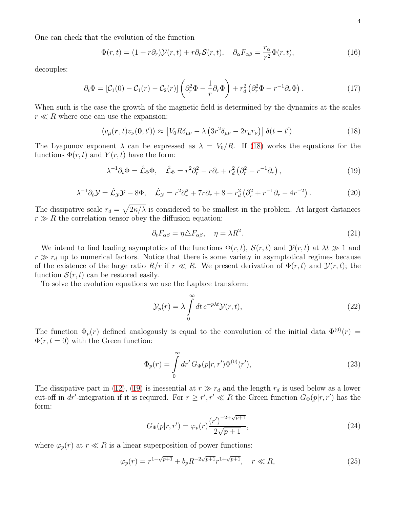One can check that the evolution of the function

<span id="page-3-5"></span>
$$
\Phi(r,t) = (1+r\partial_r)\mathcal{Y}(r,t) + r\partial_r \mathcal{S}(r,t), \quad \partial_\alpha F_{\alpha\beta} = \frac{r_\alpha}{r^2} \Phi(r,t), \tag{16}
$$

decouples:

$$
\partial_t \Phi = \left[ \mathcal{C}_1(0) - \mathcal{C}_1(r) - \mathcal{C}_2(r) \right] \left( \partial_r^2 \Phi - \frac{1}{r} \partial_r \Phi \right) + r_d^2 \left( \partial_r^2 \Phi - r^{-1} \partial_r \Phi \right). \tag{17}
$$

When such is the case the growth of the magnetic field is determined by the dynamics at the scales  $r \ll R$  where one can use the expansion:

<span id="page-3-0"></span>
$$
\langle v_{\mu}(\boldsymbol{r},t)v_{\nu}(\boldsymbol{0},t')\rangle \approx \left[V_0 R\delta_{\mu\nu} - \lambda \left(3r^2\delta_{\mu\nu} - 2r_{\mu}r_{\nu}\right)\right]\delta(t-t'). \tag{18}
$$

The Lyapunov exponent  $\lambda$  can be expressed as  $\lambda = V_0/R$ . If [\(18\)](#page-3-0) works the equations for the functions  $\Phi(r, t)$  and  $Y(r, t)$  have the form:

<span id="page-3-1"></span>
$$
\lambda^{-1}\partial_t \Phi = \hat{\mathcal{L}}_{\Phi}\Phi, \quad \hat{\mathcal{L}}_{\Phi} = r^2 \partial_r^2 - r \partial_r + r_d^2 \left(\partial_r^2 - r^{-1} \partial_r\right), \tag{19}
$$

<span id="page-3-3"></span>
$$
\lambda^{-1}\partial_t \mathcal{Y} = \hat{\mathcal{L}}_{\mathcal{Y}}\mathcal{Y} - 8\Phi, \quad \hat{\mathcal{L}}_{\mathcal{Y}} = r^2 \partial_r^2 + 7r \partial_r + 8 + r_d^2 \left(\partial_r^2 + r^{-1} \partial_r - 4r^{-2}\right). \tag{20}
$$

The dissipative scale  $r_d = \sqrt{2\kappa/\lambda}$  is considered to be smallest in the problem. At largest distances  $r \gg R$  the correlation tensor obey the diffusion equation:

<span id="page-3-4"></span>
$$
\partial_t F_{\alpha\beta} = \eta \Delta F_{\alpha\beta}, \quad \eta = \lambda R^2. \tag{21}
$$

We intend to find leading asymptotics of the functions  $\Phi(r, t)$ ,  $\mathcal{S}(r, t)$  and  $\mathcal{Y}(r, t)$  at  $\lambda t \gg 1$  and  $r \gg r_d$  up to numerical factors. Notice that there is some variety in asymptotical regimes because of the existence of the large ratio  $R/r$  if  $r \ll R$ . We present derivation of  $\Phi(r, t)$  and  $\mathcal{Y}(r, t)$ ; the function  $S(r, t)$  can be restored easily.

To solve the evolution equations we use the Laplace transform:

$$
\mathcal{Y}_p(r) = \lambda \int_0^\infty dt \, e^{-p\lambda t} \mathcal{Y}(r, t), \tag{22}
$$

The function  $\Phi_p(r)$  defined analogously is equal to the convolution of the initial data  $\Phi^{(0)}(r)$  =  $\Phi(r, t = 0)$  with the Green function:

$$
\Phi_p(r) = \int_0^\infty dr' \, G_\Phi(p|r, r') \Phi^{(0)}(r'),\tag{23}
$$

The dissipative part in [\(12\)](#page-2-0), [\(19\)](#page-3-1) is inessential at  $r \gg r_d$  and the length  $r_d$  is used below as a lower cut-off in dr'-integration if it is required. For  $r \ge r', r' \ll R$  the Green function  $G_{\Phi}(p|r, r')$  has the form:

$$
G_{\Phi}(p|r,r') = \varphi_p(r) \frac{(r')^{-2+\sqrt{p+1}}}{2\sqrt{p+1}},
$$
\n(24)

where  $\varphi_p(r)$  at  $r \ll R$  is a linear superposition of power functions:

<span id="page-3-2"></span>
$$
\varphi_p(r) = r^{1 - \sqrt{p+1}} + b_p R^{-2\sqrt{p+1}} r^{1 + \sqrt{p+1}}, \quad r \ll R,
$$
\n(25)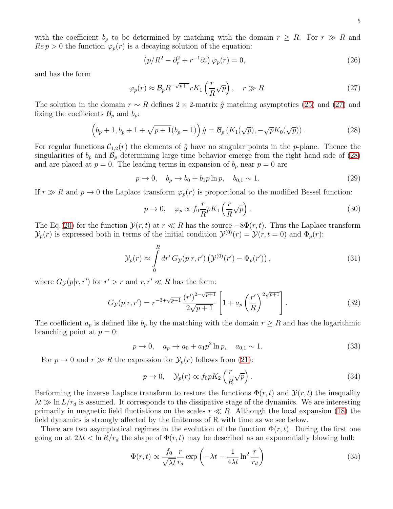with the coefficient  $b_p$  to be determined by matching with the domain  $r \geq R$ . For  $r \gg R$  and  $Re p > 0$  the function  $\varphi_p(r)$  is a decaying solution of the equation:

$$
\left(p/R^2 - \partial_r^2 + r^{-1}\partial_r\right)\varphi_p(r) = 0,\tag{26}
$$

and has the form

<span id="page-4-0"></span>
$$
\varphi_p(r) \approx \mathcal{B}_p R^{-\sqrt{p+1}} r K_1 \left(\frac{r}{R} \sqrt{p}\right), \quad r \gg R. \tag{27}
$$

The solution in the domain  $r \sim R$  defines 2 × 2-matrix  $\hat{g}$  matching asymptotics [\(25\)](#page-3-2) and [\(27\)](#page-4-0) and fixing the coefficients  $\mathcal{B}_p$  and  $b_p$ :

<span id="page-4-1"></span>
$$
\left(b_p+1, b_p+1+\sqrt{p+1}(b_p-1)\right)\hat{g} = \mathcal{B}_p\left(K_1(\sqrt{p}), -\sqrt{p}K_0(\sqrt{p})\right). \tag{28}
$$

For regular functions  $C_{1,2}(r)$  the elements of  $\hat{g}$  have no singular points in the p-plane. Thence the singularities of  $b_p$  and  $\mathcal{B}_p$  determining large time behavior emerge from the right hand side of [\(28\)](#page-4-1) and are placed at  $p = 0$ . The leading terms in expansion of  $b_p$  near  $p = 0$  are

$$
p \to 0, \quad b_p \to b_0 + b_1 p \ln p, \quad b_{0,1} \sim 1. \tag{29}
$$

If  $r \gg R$  and  $p \to 0$  the Laplace transform  $\varphi_p(r)$  is proportional to the modified Bessel function:

$$
p \to 0, \quad \varphi_p \propto f_0 \frac{r}{R} p K_1 \left(\frac{r}{R} \sqrt{p}\right). \tag{30}
$$

The Eq.[\(20\)](#page-3-3) for the function  $\mathcal{Y}(r, t)$  at  $r \ll R$  has the source  $-8\Phi(r, t)$ . Thus the Laplace transform  $\mathcal{Y}_p(r)$  is expressed both in terms of the initial condition  $\mathcal{Y}^{(0)}(r) = \mathcal{Y}(r, t = 0)$  and  $\Phi_p(r)$ :

$$
\mathcal{Y}_p(r) \approx \int_0^R dr' G_{\mathcal{Y}}(p|r, r') \left( \mathcal{Y}^{(0)}(r') - \Phi_p(r') \right), \qquad (31)
$$

where  $G_{\mathcal{Y}}(p|r, r')$  for  $r' > r$  and  $r, r' \ll R$  has the form:

<span id="page-4-2"></span>
$$
G_{\mathcal{Y}}(p|r,r') = r^{-3+\sqrt{p+1}} \frac{(r')^{2-\sqrt{p+1}}}{2\sqrt{p+1}} \left[1 + a_p \left(\frac{r'}{R}\right)^{2\sqrt{p+1}}\right].
$$
 (32)

The coefficient  $a_p$  is defined like  $b_p$  by the matching with the domain  $r \geq R$  and has the logarithmic branching point at  $p = 0$ :

$$
p \to 0, \quad a_p \to a_0 + a_1 p^2 \ln p, \quad a_{0,1} \sim 1. \tag{33}
$$

For  $p \to 0$  and  $r \gg R$  the expression for  $\mathcal{Y}_p(r)$  follows from [\(21\)](#page-3-4):

$$
p \to 0, \quad \mathcal{Y}_p(r) \propto f_0 p K_2 \left(\frac{r}{R} \sqrt{p}\right). \tag{34}
$$

Performing the inverse Laplace transform to restore the functions  $\Phi(r,t)$  and  $\mathcal{Y}(r,t)$  the inequality  $\lambda t \gg \ln L/r_d$  is assumed. It corresponds to the dissipative stage of the dynamics. We are interesting primarily in magnetic field fluctiations on the scales  $r \ll R$ . Although the local expansion [\(18\)](#page-3-0) the field dynamics is strongly affected by the finiteness of R with time as we see below.

There are two asymptotical regimes in the evolution of the function  $\Phi(r, t)$ . During the first one going on at  $2\lambda t < \ln R/r_d$  the shape of  $\Phi(r, t)$  may be described as an exponentially blowing hull:

$$
\Phi(r,t) \propto \frac{f_0}{\sqrt{\lambda t}} \frac{r}{r_d} \exp\left(-\lambda t - \frac{1}{4\lambda t} \ln^2 \frac{r}{r_d}\right) \tag{35}
$$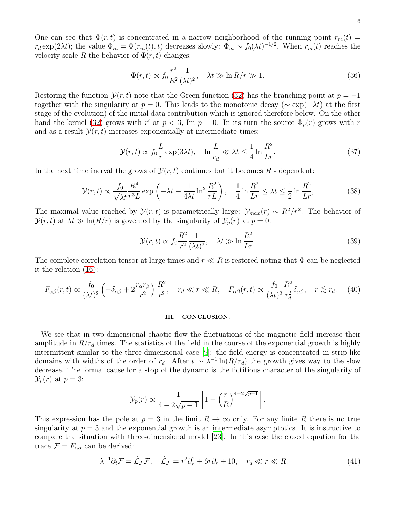One can see that  $\Phi(r, t)$  is concentrated in a narrow neighborhood of the running point  $r_m(t)$  $r_d \exp(2\lambda t)$ ; the value  $\Phi_m = \Phi(r_m(t), t)$  decreases slowly:  $\Phi_m \sim f_0(\lambda t)^{-1/2}$ . When  $r_m(t)$  reaches the velocity scale R the behavior of  $\Phi(r, t)$  changes:

$$
\Phi(r,t) \propto f_0 \frac{r^2}{R^2} \frac{1}{(\lambda t)^2}, \quad \lambda t \gg \ln R/r \gg 1.
$$
\n(36)

Restoring the function  $\mathcal{Y}(r,t)$  note that the Green function [\(32\)](#page-4-2) has the branching point at  $p = -1$ together with the singularity at  $p = 0$ . This leads to the monotonic decay ( $\sim \exp(-\lambda t)$ ) at the first stage of the evolution) of the initial data contribution which is ignored therefore below. On the other hand the kernel [\(32\)](#page-4-2) grows with  $r'$  at  $p < 3$ , Im  $p = 0$ . In its turn the source  $\Phi_p(r)$  grows with  $r$ and as a result  $\mathcal{Y}(r,t)$  increases exponentially at intermediate times:

$$
\mathcal{Y}(r,t) \propto f_0 \frac{L}{r} \exp(3\lambda t), \quad \ln \frac{L}{r_d} \ll \lambda t \le \frac{1}{4} \ln \frac{R^2}{Lr}.
$$
 (37)

In the next time inerval the grows of  $\mathcal{Y}(r,t)$  continues but it becomes R - dependent:

$$
\mathcal{Y}(r,t) \propto \frac{f_0}{\sqrt{\lambda t}} \frac{R^4}{r^3 L} \exp\left(-\lambda t - \frac{1}{4\lambda t} \ln^2 \frac{R^2}{rL}\right), \quad \frac{1}{4} \ln \frac{R^2}{Lr} \le \lambda t \le \frac{1}{2} \ln \frac{R^2}{Lr},\tag{38}
$$

The maximal value reached by  $\mathcal{Y}(r,t)$  is parametrically large:  $\mathcal{Y}_{max}(r) \sim R^2/r^2$ . The behavior of  $\mathcal{Y}(r,t)$  at  $\lambda t \gg \ln(R/r)$  is governed by the singularity of  $\mathcal{Y}_p(r)$  at  $p=0$ :

$$
\mathcal{Y}(r,t) \propto f_0 \frac{R^2}{r^2} \frac{1}{(\lambda t)^2}, \quad \lambda t \gg \ln \frac{R^2}{Lr}.
$$
\n(39)

The complete correlation tensor at large times and  $r \ll R$  is restored noting that  $\Phi$  can be neglected it the relation [\(16\)](#page-3-5):

$$
F_{\alpha\beta}(r,t) \propto \frac{f_0}{(\lambda t)^2} \left( -\delta_{\alpha\beta} + 2\frac{r_{\alpha}r_{\beta}}{r^2} \right) \frac{R^2}{r^2}, \quad r_d \ll r \ll R, \quad F_{\alpha\beta}(r,t) \propto \frac{f_0}{(\lambda t)^2} \frac{R^2}{r_d^2} \delta_{\alpha\beta}, \quad r \lesssim r_d. \tag{40}
$$

## III. CONCLUSION.

We see that in two-dimensional chaotic flow the fluctuations of the magnetic field increase their amplitude in  $R/r_d$  times. The statistics of the field in the course of the exponential growth is highly intermittent similar to the three-dimensional case [\[9\]](#page-6-4): the field energy is concentrated in strip-like domains with widths of the order of  $r_d$ . After  $t \sim \lambda^{-1} \ln(R/r_d)$  the growth gives way to the slow decrease. The formal cause for a stop of the dynamo is the fictitious character of the singularity of  $\mathcal{Y}_p(r)$  at  $p=3$ :

$$
\mathcal{Y}_p(r) \propto \frac{1}{4 - 2\sqrt{p+1}} \left[ 1 - \left(\frac{r}{R}\right)^{4-2\sqrt{p+1}} \right],
$$

This expression has the pole at  $p = 3$  in the limit  $R \to \infty$  only. For any finite R there is no true singularity at  $p = 3$  and the exponential growth is an intermediate asymptotics. It is instructive to compare the situation with three-dimensional model [\[23\]](#page-6-18). In this case the closed equation for the trace  $\mathcal{F} = F_{\alpha\alpha}$  can be derived:

$$
\lambda^{-1}\partial_t \mathcal{F} = \hat{\mathcal{L}}_{\mathcal{F}}\mathcal{F}, \quad \hat{\mathcal{L}}_{\mathcal{F}} = r^2 \partial_r^2 + 6r \partial_r + 10, \quad r_d \ll r \ll R. \tag{41}
$$